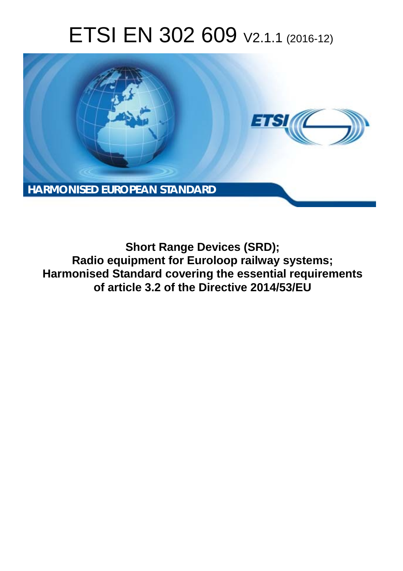# ETSI EN 302 609 V2.1.1 (2016-12)



**Short Range Devices (SRD); Radio equipment for Euroloop railway systems; Harmonised Standard covering the essential requirements of article 3.2 of the Directive 2014/53/EU**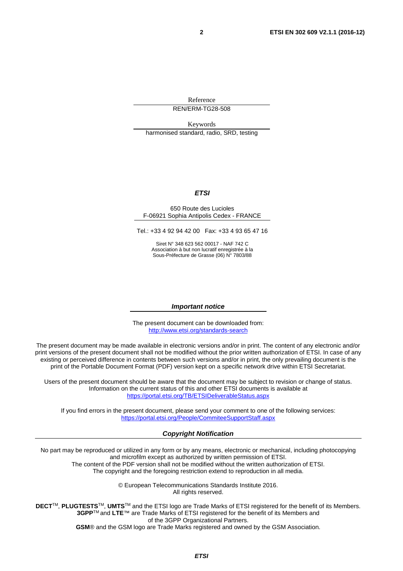Reference REN/ERM-TG28-508

Keywords harmonised standard, radio, SRD, testing

#### *ETSI*

#### 650 Route des Lucioles F-06921 Sophia Antipolis Cedex - FRANCE

Tel.: +33 4 92 94 42 00 Fax: +33 4 93 65 47 16

Siret N° 348 623 562 00017 - NAF 742 C Association à but non lucratif enregistrée à la Sous-Préfecture de Grasse (06) N° 7803/88

#### *Important notice*

The present document can be downloaded from: <http://www.etsi.org/standards-search>

The present document may be made available in electronic versions and/or in print. The content of any electronic and/or print versions of the present document shall not be modified without the prior written authorization of ETSI. In case of any existing or perceived difference in contents between such versions and/or in print, the only prevailing document is the print of the Portable Document Format (PDF) version kept on a specific network drive within ETSI Secretariat.

Users of the present document should be aware that the document may be subject to revision or change of status. Information on the current status of this and other ETSI documents is available at <https://portal.etsi.org/TB/ETSIDeliverableStatus.aspx>

If you find errors in the present document, please send your comment to one of the following services: <https://portal.etsi.org/People/CommiteeSupportStaff.aspx>

#### *Copyright Notification*

No part may be reproduced or utilized in any form or by any means, electronic or mechanical, including photocopying and microfilm except as authorized by written permission of ETSI.

The content of the PDF version shall not be modified without the written authorization of ETSI. The copyright and the foregoing restriction extend to reproduction in all media.

> © European Telecommunications Standards Institute 2016. All rights reserved.

**DECT**TM, **PLUGTESTS**TM, **UMTS**TM and the ETSI logo are Trade Marks of ETSI registered for the benefit of its Members. **3GPP**TM and **LTE**™ are Trade Marks of ETSI registered for the benefit of its Members and of the 3GPP Organizational Partners.

**GSM**® and the GSM logo are Trade Marks registered and owned by the GSM Association.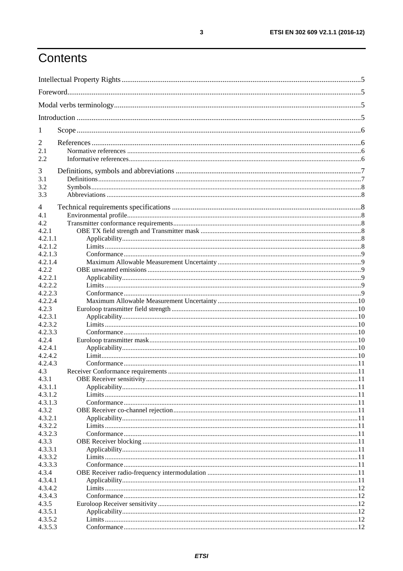# Contents

| 1                  |  |  |  |
|--------------------|--|--|--|
| 2                  |  |  |  |
| 2.1                |  |  |  |
| 2.2                |  |  |  |
| 3                  |  |  |  |
| 3.1                |  |  |  |
| 3.2                |  |  |  |
| 3.3                |  |  |  |
| 4                  |  |  |  |
| 4.1                |  |  |  |
| 4.2                |  |  |  |
| 4.2.1              |  |  |  |
| 4.2.1.1            |  |  |  |
| 4.2.1.2            |  |  |  |
| 4.2.1.3            |  |  |  |
| 4.2.1.4            |  |  |  |
| 4.2.2<br>4.2.2.1   |  |  |  |
| 4.2.2.2            |  |  |  |
| 4.2.2.3            |  |  |  |
| 4.2.2.4            |  |  |  |
| 4.2.3              |  |  |  |
| 4.2.3.1            |  |  |  |
| 4.2.3.2            |  |  |  |
| 4.2.3.3            |  |  |  |
| 4.2.4              |  |  |  |
| 4.2.4.1            |  |  |  |
| 4.2.4.2            |  |  |  |
| 4.2.4.3            |  |  |  |
| 4.3<br>4.3.1       |  |  |  |
| 4.3.1.1            |  |  |  |
| 4.3.1.2            |  |  |  |
| 4.3.1.3            |  |  |  |
| 4.3.2              |  |  |  |
| 4.3.2.1            |  |  |  |
| 4.3.2.2            |  |  |  |
| 4.3.2.3            |  |  |  |
| 4.3.3              |  |  |  |
| 4.3.3.1            |  |  |  |
| 4.3.3.2            |  |  |  |
| 4.3.3.3            |  |  |  |
| 4.3.4              |  |  |  |
| 4.3.4.1<br>4.3.4.2 |  |  |  |
| 4.3.4.3            |  |  |  |
| 4.3.5              |  |  |  |
| 4.3.5.1            |  |  |  |
| 4.3.5.2            |  |  |  |
| 4.3.5.3            |  |  |  |
|                    |  |  |  |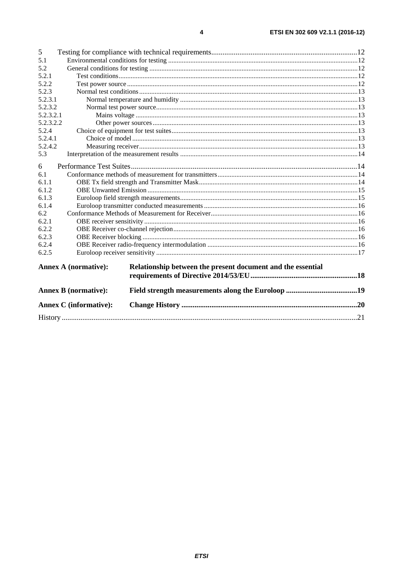| 5         |                               |                                                             |  |
|-----------|-------------------------------|-------------------------------------------------------------|--|
| 5.1       |                               |                                                             |  |
| 5.2       |                               |                                                             |  |
| 5.2.1     |                               |                                                             |  |
| 5.2.2     |                               |                                                             |  |
| 5.2.3     |                               |                                                             |  |
| 5.2.3.1   |                               |                                                             |  |
| 5.2.3.2   |                               |                                                             |  |
| 5.2.3.2.1 |                               |                                                             |  |
| 5.2.3.2.2 |                               |                                                             |  |
| 5.2.4     |                               |                                                             |  |
| 5.2.4.1   |                               |                                                             |  |
| 5.2.4.2   |                               |                                                             |  |
| 5.3       |                               |                                                             |  |
| 6         |                               |                                                             |  |
| 6.1       |                               |                                                             |  |
| 6.1.1     |                               |                                                             |  |
| 6.1.2     |                               |                                                             |  |
| 6.1.3     |                               |                                                             |  |
| 6.1.4     |                               |                                                             |  |
| 6.2       |                               |                                                             |  |
| 6.2.1     |                               |                                                             |  |
| 6.2.2     |                               |                                                             |  |
| 6.2.3     |                               |                                                             |  |
| 6.2.4     |                               |                                                             |  |
| 6.2.5     |                               |                                                             |  |
|           | <b>Annex A (normative):</b>   | Relationship between the present document and the essential |  |
|           |                               |                                                             |  |
|           | <b>Annex B</b> (normative):   |                                                             |  |
|           | <b>Annex C</b> (informative): |                                                             |  |
|           |                               |                                                             |  |
|           |                               |                                                             |  |

 $\overline{\mathbf{4}}$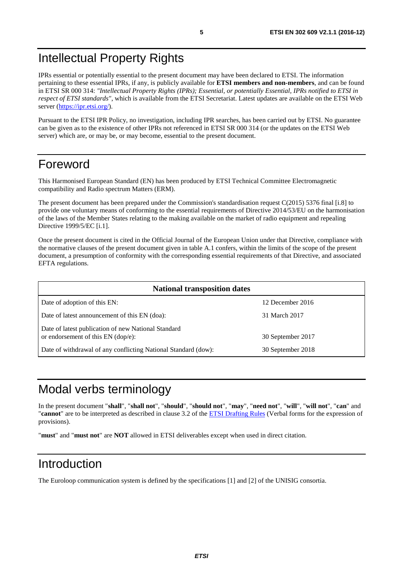# <span id="page-4-0"></span>Intellectual Property Rights

IPRs essential or potentially essential to the present document may have been declared to ETSI. The information pertaining to these essential IPRs, if any, is publicly available for **ETSI members and non-members**, and can be found in ETSI SR 000 314: *"Intellectual Property Rights (IPRs); Essential, or potentially Essential, IPRs notified to ETSI in respect of ETSI standards"*, which is available from the ETSI Secretariat. Latest updates are available on the ETSI Web server (<https://ipr.etsi.org/>).

Pursuant to the ETSI IPR Policy, no investigation, including IPR searches, has been carried out by ETSI. No guarantee can be given as to the existence of other IPRs not referenced in ETSI SR 000 314 (or the updates on the ETSI Web server) which are, or may be, or may become, essential to the present document.

# Foreword

This Harmonised European Standard (EN) has been produced by ETSI Technical Committee Electromagnetic compatibility and Radio spectrum Matters (ERM).

The present document has been prepared under the Commission's standardisation request C(2015) 5376 final [i.8] to provide one voluntary means of conforming to the essential requirements of Directive 2014/53/EU on the harmonisation of the laws of the Member States relating to the making available on the market of radio equipment and repealing Directive 1999/5/EC [i.1].

Once the present document is cited in the Official Journal of the European Union under that Directive, compliance with the normative clauses of the present document given in table A.1 confers, within the limits of the scope of the present document, a presumption of conformity with the corresponding essential requirements of that Directive, and associated EFTA regulations.

| <b>National transposition dates</b>                                                       |                   |  |
|-------------------------------------------------------------------------------------------|-------------------|--|
| Date of adoption of this EN:                                                              | 12 December 2016  |  |
| Date of latest announcement of this EN (doa):                                             | 31 March 2017     |  |
| Date of latest publication of new National Standard<br>or endorsement of this EN (dop/e): | 30 September 2017 |  |
| Date of withdrawal of any conflicting National Standard (dow):                            | 30 September 2018 |  |

# Modal verbs terminology

In the present document "**shall**", "**shall not**", "**should**", "**should not**", "**may**", "**need not**", "**will**", "**will not**", "**can**" and "**cannot**" are to be interpreted as described in clause 3.2 of the [ETSI Drafting Rules](https://portal.etsi.org/Services/editHelp!/Howtostart/ETSIDraftingRules.aspx) (Verbal forms for the expression of provisions).

"**must**" and "**must not**" are **NOT** allowed in ETSI deliverables except when used in direct citation.

# Introduction

The Euroloop communication system is defined by the specifications [\[1](#page-5-0)] and [\[2](#page-5-0)] of the UNISIG consortia.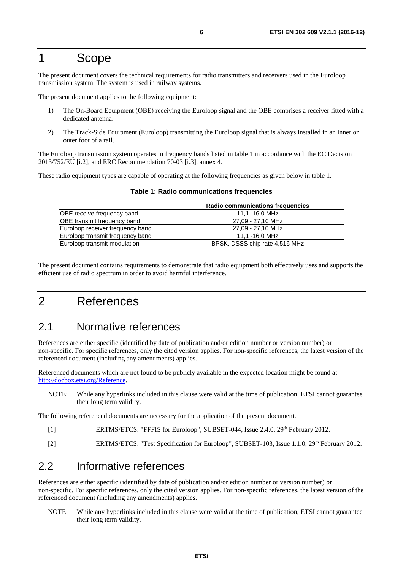# <span id="page-5-0"></span>1 Scope

The present document covers the technical requirements for radio transmitters and receivers used in the Euroloop transmission system. The system is used in railway systems.

The present document applies to the following equipment:

- 1) The On-Board Equipment (OBE) receiving the Euroloop signal and the OBE comprises a receiver fitted with a dedicated antenna.
- 2) The Track-Side Equipment (Euroloop) transmitting the Euroloop signal that is always installed in an inner or outer foot of a rail.

The Euroloop transmission system operates in frequency bands listed in table 1 in accordance with the EC Decision 2013/752/EU [\[i.2\]](#page-6-0), and ERC Recommendation 70-03 [\[i.3](#page-6-0)], annex 4.

These radio equipment types are capable of operating at the following frequencies as given below in table 1.

|                                  | Radio communications frequencies |
|----------------------------------|----------------------------------|
| OBE receive frequency band       | 11,1 -16,0 MHz                   |
| OBE transmit frequency band      | 27,09 - 27,10 MHz                |
| Euroloop receiver frequency band | 27.09 - 27.10 MHz                |
| Euroloop transmit frequency band | 11.1 -16.0 MHz                   |
| Euroloop transmit modulation     | BPSK, DSSS chip rate 4,516 MHz   |

#### **Table 1: Radio communications frequencies**

The present document contains requirements to demonstrate that radio equipment both effectively uses and supports the efficient use of radio spectrum in order to avoid harmful interference.

# 2 References

# 2.1 Normative references

References are either specific (identified by date of publication and/or edition number or version number) or non-specific. For specific references, only the cited version applies. For non-specific references, the latest version of the referenced document (including any amendments) applies.

Referenced documents which are not found to be publicly available in the expected location might be found at <http://docbox.etsi.org/Reference>.

NOTE: While any hyperlinks included in this clause were valid at the time of publication, ETSI cannot guarantee their long term validity.

The following referenced documents are necessary for the application of the present document.

- [1] ERTMS/ETCS: "FFFIS for Euroloop", SUBSET-044, Issue 2.4.0, 29<sup>th</sup> February 2012.
- [2] ERTMS/ETCS: "Test Specification for Euroloop", SUBSET-103, Issue 1.1.0, 29<sup>th</sup> February 2012.

# 2.2 Informative references

References are either specific (identified by date of publication and/or edition number or version number) or non-specific. For specific references, only the cited version applies. For non-specific references, the latest version of the referenced document (including any amendments) applies.

NOTE: While any hyperlinks included in this clause were valid at the time of publication, ETSI cannot guarantee their long term validity.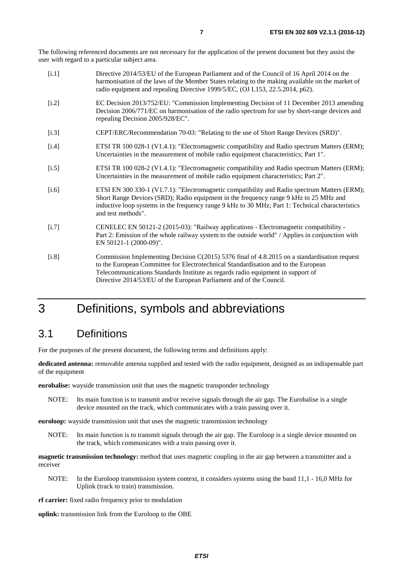<span id="page-6-0"></span>The following referenced documents are not necessary for the application of the present document but they assist the user with regard to a particular subject area.

| [i.1]   | Directive 2014/53/EU of the European Parliament and of the Council of 16 April 2014 on the<br>harmonisation of the laws of the Member States relating to the making available on the market of<br>radio equipment and repealing Directive 1999/5/EC, (OJ L153, 22.5.2014, p62).                                                              |
|---------|----------------------------------------------------------------------------------------------------------------------------------------------------------------------------------------------------------------------------------------------------------------------------------------------------------------------------------------------|
| $[1.2]$ | EC Decision 2013/752/EU: "Commission Implementing Decision of 11 December 2013 amending<br>Decision 2006/771/EC on harmonisation of the radio spectrum for use by short-range devices and<br>repealing Decision 2005/928/EC".                                                                                                                |
| $[1.3]$ | CEPT/ERC/Recommendation 70-03: "Relating to the use of Short Range Devices (SRD)".                                                                                                                                                                                                                                                           |
| $[1.4]$ | ETSI TR 100 028-1 (V1.4.1): "Electromagnetic compatibility and Radio spectrum Matters (ERM);<br>Uncertainties in the measurement of mobile radio equipment characteristics; Part 1".                                                                                                                                                         |
| $[1.5]$ | ETSI TR 100 028-2 (V1.4.1): "Electromagnetic compatibility and Radio spectrum Matters (ERM);<br>Uncertainties in the measurement of mobile radio equipment characteristics; Part 2".                                                                                                                                                         |
| $[i.6]$ | ETSI EN 300 330-1 (V1.7.1): "Electromagnetic compatibility and Radio spectrum Matters (ERM);<br>Short Range Devices (SRD); Radio equipment in the frequency range 9 kHz to 25 MHz and<br>inductive loop systems in the frequency range 9 kHz to 30 MHz; Part 1: Technical characteristics<br>and test methods".                              |
| $[1.7]$ | CENELEC EN 50121-2 (2015-03): "Railway applications - Electromagnetic compatibility -<br>Part 2: Emission of the whole railway system to the outside world" / Applies in conjunction with<br>EN 50121-1 (2000-09)".                                                                                                                          |
| $[1.8]$ | Commission Implementing Decision C(2015) 5376 final of 4.8.2015 on a standardisation request<br>to the European Committee for Electrotechnical Standardisation and to the European<br>Telecommunications Standards Institute as regards radio equipment in support of<br>Directive 2014/53/EU of the European Parliament and of the Council. |

# 3 Definitions, symbols and abbreviations

# 3.1 Definitions

For the purposes of the present document, the following terms and definitions apply:

**dedicated antenna:** removable antenna supplied and tested with the radio equipment, designed as an indispensable part of the equipment

**eurobalise:** wayside transmission unit that uses the magnetic transponder technology

NOTE: Its main function is to transmit and/or receive signals through the air gap. The Eurobalise is a single device mounted on the track, which communicates with a train passing over it.

**euroloop:** wayside transmission unit that uses the magnetic transmission technology

NOTE: Its main function is to transmit signals through the air gap. The Euroloop is a single device mounted on the track, which communicates with a train passing over it.

**magnetic transmission technology:** method that uses magnetic coupling in the air gap between a transmitter and a receiver

NOTE: In the Euroloop transmission system context, it considers systems using the band 11,1 - 16,0 MHz for Uplink (track to train) transmission.

**rf carrier:** fixed radio frequency prior to modulation

**uplink:** transmission link from the Euroloop to the OBE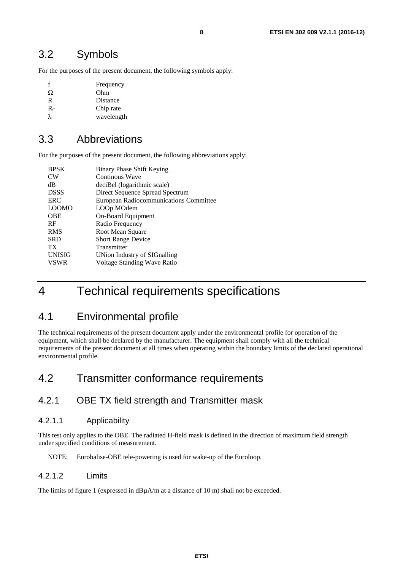# <span id="page-7-0"></span>3.2 Symbols

For the purposes of the present document, the following symbols apply:

| f     | Frequency  |
|-------|------------|
| Ω     | Ohm        |
| R     | Distance   |
| $R_C$ | Chip rate  |
| λ.    | wavelength |

# 3.3 Abbreviations

For the purposes of the present document, the following abbreviations apply:

| <b>BPSK</b>     | Binary Phase Shift Keying              |
|-----------------|----------------------------------------|
| <b>CW</b>       | Continous Wave                         |
| dВ              | deciBel (logarithmic scale)            |
| <b>DSSS</b>     | Direct Sequence Spread Spectrum        |
| ERC             | European Radiocommunications Committee |
| <b>LOOMO</b>    | LOOp MOdem                             |
| <b>OBE</b>      | On-Board Equipment                     |
| <b>RF</b>       | Radio Frequency                        |
| <b>RMS</b>      | Root Mean Square                       |
| <b>SRD</b>      | <b>Short Range Device</b>              |
| TX <sup>-</sup> | Transmitter                            |
| <b>UNISIG</b>   | UNion Industry of SIGnalling           |
| <b>VSWR</b>     | Voltage Standing Wave Ratio            |
|                 |                                        |

# 4 Technical requirements specifications

# 4.1 Environmental profile

The technical requirements of the present document apply under the environmental profile for operation of the equipment, which shall be declared by the manufacturer. The equipment shall comply with all the technical requirements of the present document at all times when operating within the boundary limits of the declared operational environmental profile.

# 4.2 Transmitter conformance requirements

# 4.2.1 OBE TX field strength and Transmitter mask

### 4.2.1.1 Applicability

This test only applies to the OBE. The radiated H-field mask is defined in the direction of maximum field strength under specified conditions of measurement.

#### NOTE: Eurobalise-OBE tele-powering is used for wake-up of the Euroloop.

### 4.2.1.2 Limits

The limits of figure 1 (expressed in  $dB\mu A/m$  at a distance of 10 m) shall not be exceeded.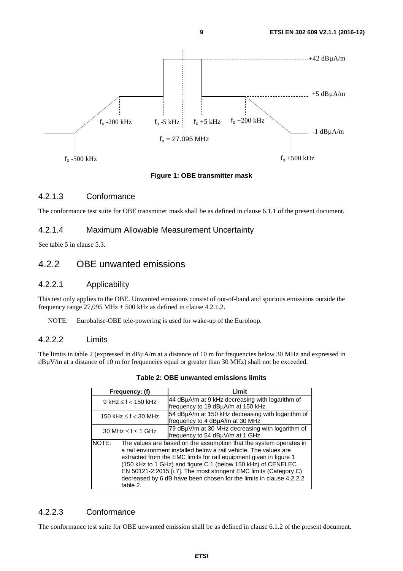<span id="page-8-0"></span>

#### **Figure 1: OBE transmitter mask**

### 4.2.1.3 Conformance

The conformance test suite for OBE transmitter mask shall be as defined in clause 6.1.1 of the present document.

### 4.2.1.4 Maximum Allowable Measurement Uncertainty

See table 5 in clause 5.3.

# 4.2.2 OBE unwanted emissions

#### 4.2.2.1 Applicability

This test only applies to the OBE. Unwanted emissions consist of out-of-band and spurious emissions outside the frequency range  $27,095$  MHz  $\pm 500$  kHz as defined in clause 4.2.1.2.

NOTE: Eurobalise-OBE tele-powering is used for wake-up of the Euroloop.

#### 4.2.2.2 Limits

The limits in table 2 (expressed in dBµA/m at a distance of 10 m for frequencies below 30 MHz and expressed in dBuV/m at a distance of 10 m for frequencies equal or greater than 30 MHz) shall not be exceeded.

| Frequency: (f)                                                                                                                                                                                                                                                                                                                                                                                                                                 | Limit                                                                                |  |
|------------------------------------------------------------------------------------------------------------------------------------------------------------------------------------------------------------------------------------------------------------------------------------------------------------------------------------------------------------------------------------------------------------------------------------------------|--------------------------------------------------------------------------------------|--|
| 9 kHz $\leq$ f $<$ 150 kHz                                                                                                                                                                                                                                                                                                                                                                                                                     | 44 dBµA/m at 9 kHz decreasing with logarithm of<br>frequency to 19 dBµA/m at 150 kHz |  |
| 150 kHz $\leq$ f $<$ 30 MHz                                                                                                                                                                                                                                                                                                                                                                                                                    | 54 dBµA/m at 150 kHz decreasing with logarithm of<br>frequency to 4 dBµA/m at 30 MHz |  |
| 30 MHz $\leq$ f $\leq$ 1 GHz                                                                                                                                                                                                                                                                                                                                                                                                                   | 79 dBµV/m at 30 MHz decreasing with logarithm of<br>frequency to 54 dBµV/m at 1 GHz  |  |
| The values are based on the assumption that the system operates in<br>NOTE:<br>a rail environment installed below a rail vehicle. The values are<br>extracted from the EMC limits for rail equipment given in figure 1<br>(150 kHz to 1 GHz) and figure C.1 (below 150 kHz) of CENELEC<br>EN 50121-2:2015 [i.7]. The most stringent EMC limits (Category C)<br>decreased by 6 dB have been chosen for the limits in clause 4.2.2.2<br>table 2. |                                                                                      |  |

#### **Table 2: OBE unwanted emissions limits**

## 4.2.2.3 Conformance

The conformance test suite for OBE unwanted emission shall be as defined in clause 6.1.2 of the present document.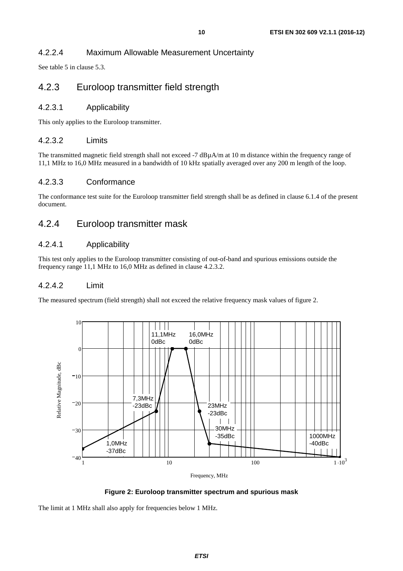## <span id="page-9-0"></span>4.2.2.4 Maximum Allowable Measurement Uncertainty

See table 5 in clause 5.3.

# 4.2.3 Euroloop transmitter field strength

#### 4.2.3.1 Applicability

This only applies to the Euroloop transmitter.

#### 4.2.3.2 Limits

The transmitted magnetic field strength shall not exceed -7 dBµA/m at 10 m distance within the frequency range of 11,1 MHz to 16,0 MHz measured in a bandwidth of 10 kHz spatially averaged over any 200 m length of the loop.

### 4.2.3.3 Conformance

The conformance test suite for the Euroloop transmitter field strength shall be as defined in clause 6.1.4 of the present document.

# 4.2.4 Euroloop transmitter mask

#### 4.2.4.1 Applicability

This test only applies to the Euroloop transmitter consisting of out-of-band and spurious emissions outside the frequency range 11,1 MHz to 16,0 MHz as defined in clause 4.2.3.2.

#### 4.2.4.2 Limit

The measured spectrum (field strength) shall not exceed the relative frequency mask values of figure 2.



**Figure 2: Euroloop transmitter spectrum and spurious mask** 

The limit at 1 MHz shall also apply for frequencies below 1 MHz.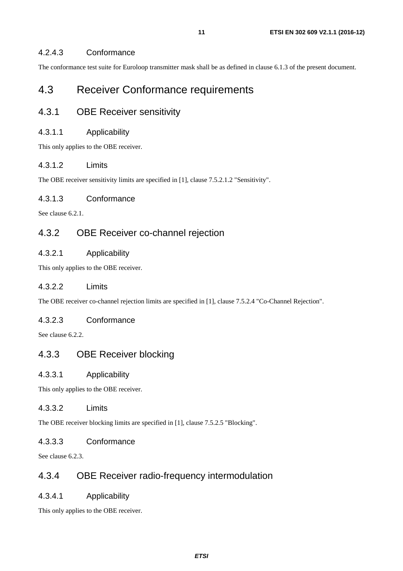### <span id="page-10-0"></span>4.2.4.3 Conformance

The conformance test suite for Euroloop transmitter mask shall be as defined in clause 6.1.3 of the present document.

# 4.3 Receiver Conformance requirements

# 4.3.1 OBE Receiver sensitivity

#### 4.3.1.1 Applicability

This only applies to the OBE receiver.

### 4.3.1.2 Limits

The OBE receiver sensitivity limits are specified in [\[1](#page-5-0)], clause 7.5.2.1.2 "Sensitivity".

### 4.3.1.3 Conformance

See clause 6.2.1.

# 4.3.2 OBE Receiver co-channel rejection

### 4.3.2.1 Applicability

This only applies to the OBE receiver.

### 4.3.2.2 Limits

The OBE receiver co-channel rejection limits are specified in [[1\]](#page-5-0), clause 7.5.2.4 "Co-Channel Rejection".

#### 4.3.2.3 Conformance

See clause 6.2.2.

## 4.3.3 OBE Receiver blocking

#### 4.3.3.1 Applicability

This only applies to the OBE receiver.

### 4.3.3.2 Limits

The OBE receiver blocking limits are specified in [\[1](#page-5-0)], clause 7.5.2.5 "Blocking".

#### 4.3.3.3 Conformance

See clause 6.2.3.

# 4.3.4 OBE Receiver radio-frequency intermodulation

### 4.3.4.1 Applicability

This only applies to the OBE receiver.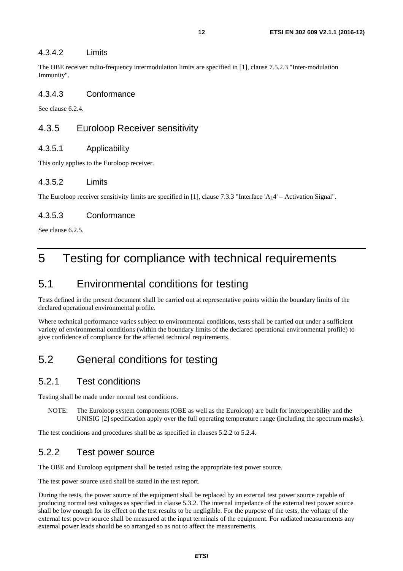<span id="page-11-0"></span>The OBE receiver radio-frequency intermodulation limits are specified in [\[1](#page-5-0)], clause 7.5.2.3 "Inter-modulation Immunity".

#### 4.3.4.3 Conformance

See clause 6.2.4.

# 4.3.5 Euroloop Receiver sensitivity

### 4.3.5.1 Applicability

This only applies to the Euroloop receiver.

### 4.3.5.2 Limits

The Euroloop receiver sensitivity limits are specified in [[1\]](#page-5-0), clause 7.3.3 "Interface 'A<sub>L</sub>4' – Activation Signal".

### 4.3.5.3 Conformance

See clause 6.2.5.

# 5 Testing for compliance with technical requirements

# 5.1 Environmental conditions for testing

Tests defined in the present document shall be carried out at representative points within the boundary limits of the declared operational environmental profile.

Where technical performance varies subject to environmental conditions, tests shall be carried out under a sufficient variety of environmental conditions (within the boundary limits of the declared operational environmental profile) to give confidence of compliance for the affected technical requirements.

# 5.2 General conditions for testing

## 5.2.1 Test conditions

Testing shall be made under normal test conditions.

NOTE: The Euroloop system components (OBE as well as the Euroloop) are built for interoperability and the UNISIG [\[2](#page-5-0)] specification apply over the full operating temperature range (including the spectrum masks).

The test conditions and procedures shall be as specified in clauses 5.2.2 to 5.2.4.

# 5.2.2 Test power source

The OBE and Euroloop equipment shall be tested using the appropriate test power source.

The test power source used shall be stated in the test report.

During the tests, the power source of the equipment shall be replaced by an external test power source capable of producing normal test voltages as specified in clause 5.3.2. The internal impedance of the external test power source shall be low enough for its effect on the test results to be negligible. For the purpose of the tests, the voltage of the external test power source shall be measured at the input terminals of the equipment. For radiated measurements any external power leads should be so arranged so as not to affect the measurements.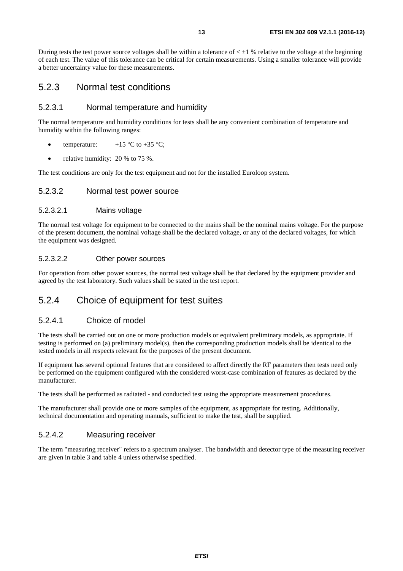<span id="page-12-0"></span>During tests the test power source voltages shall be within a tolerance of  $\lt \pm 1$  % relative to the voltage at the beginning of each test. The value of this tolerance can be critical for certain measurements. Using a smaller tolerance will provide a better uncertainty value for these measurements.

# 5.2.3 Normal test conditions

#### 5.2.3.1 Normal temperature and humidity

The normal temperature and humidity conditions for tests shall be any convenient combination of temperature and humidity within the following ranges:

- temperature:  $+15 \degree C$  to  $+35 \degree C$ ;
- relative humidity:  $20\%$  to 75 %.

The test conditions are only for the test equipment and not for the installed Euroloop system.

#### 5.2.3.2 Normal test power source

#### 5.2.3.2.1 Mains voltage

The normal test voltage for equipment to be connected to the mains shall be the nominal mains voltage. For the purpose of the present document, the nominal voltage shall be the declared voltage, or any of the declared voltages, for which the equipment was designed.

#### 5.2.3.2.2 Other power sources

For operation from other power sources, the normal test voltage shall be that declared by the equipment provider and agreed by the test laboratory. Such values shall be stated in the test report.

# 5.2.4 Choice of equipment for test suites

### 5.2.4.1 Choice of model

The tests shall be carried out on one or more production models or equivalent preliminary models, as appropriate. If testing is performed on (a) preliminary model(s), then the corresponding production models shall be identical to the tested models in all respects relevant for the purposes of the present document.

If equipment has several optional features that are considered to affect directly the RF parameters then tests need only be performed on the equipment configured with the considered worst-case combination of features as declared by the manufacturer.

The tests shall be performed as radiated - and conducted test using the appropriate measurement procedures.

The manufacturer shall provide one or more samples of the equipment, as appropriate for testing. Additionally, technical documentation and operating manuals, sufficient to make the test, shall be supplied.

### 5.2.4.2 Measuring receiver

The term "measuring receiver" refers to a spectrum analyser. The bandwidth and detector type of the measuring receiver are given in table 3 and table 4 unless otherwise specified.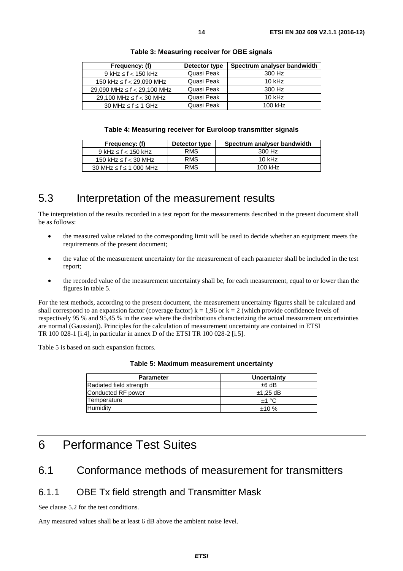<span id="page-13-0"></span>

| Frequency: (f)                     | Detector type | Spectrum analyser bandwidth |
|------------------------------------|---------------|-----------------------------|
| $9$ kHz $\leq$ f $<$ 150 kHz       | Quasi Peak    | 300 Hz                      |
| 150 kHz $\leq$ f $<$ 29,090 MHz    | Quasi Peak    | $10$ kHz                    |
| 29,090 MHz $\leq$ f $<$ 29,100 MHz | Quasi Peak    | 300 Hz                      |
| 29.100 MHz $\leq$ f $<$ 30 MHz     | Quasi Peak    | $10$ kHz                    |
| 30 MHz $\leq$ f $\leq$ 1 GHz       | Quasi Peak    | 100 kHz                     |

#### **Table 4: Measuring receiver for Euroloop transmitter signals**

| Frequency: (f)                   | Detector type | Spectrum analyser bandwidth |
|----------------------------------|---------------|-----------------------------|
| $9$ kHz $\leq$ f $<$ 150 kHz     | <b>RMS</b>    | 300 Hz                      |
| 150 kHz $\leq$ f $<$ 30 MHz      | <b>RMS</b>    | $10$ kHz                    |
| 30 MHz $\leq$ f $\leq$ 1 000 MHz | <b>RMS</b>    | $100$ kHz                   |

# 5.3 Interpretation of the measurement results

The interpretation of the results recorded in a test report for the measurements described in the present document shall be as follows:

- the measured value related to the corresponding limit will be used to decide whether an equipment meets the requirements of the present document;
- the value of the measurement uncertainty for the measurement of each parameter shall be included in the test report;
- the recorded value of the measurement uncertainty shall be, for each measurement, equal to or lower than the figures in table 5.

For the test methods, according to the present document, the measurement uncertainty figures shall be calculated and shall correspond to an expansion factor (coverage factor)  $k = 1.96$  or  $k = 2$  (which provide confidence levels of respectively 95 % and 95,45 % in the case where the distributions characterizing the actual measurement uncertainties are normal (Gaussian)). Principles for the calculation of measurement uncertainty are contained in ETSI TR 100 028-1 [\[i.4](#page-6-0)], in particular in annex D of the ETSI TR 100 028-2 [[i.5\]](#page-6-0).

Table 5 is based on such expansion factors.

| <b>Parameter</b>        | Uncertainty |
|-------------------------|-------------|
| Radiated field strength | ±6 dB       |
| Conducted RF power      | $±1,25$ dB  |
| Temperature             | $+1 °C$     |
| Humidity                | ±10%        |

#### **Table 5: Maximum measurement uncertainty**

# 6 Performance Test Suites

# 6.1 Conformance methods of measurement for transmitters

## 6.1.1 OBE Tx field strength and Transmitter Mask

See clause 5.2 for the test conditions.

Any measured values shall be at least 6 dB above the ambient noise level.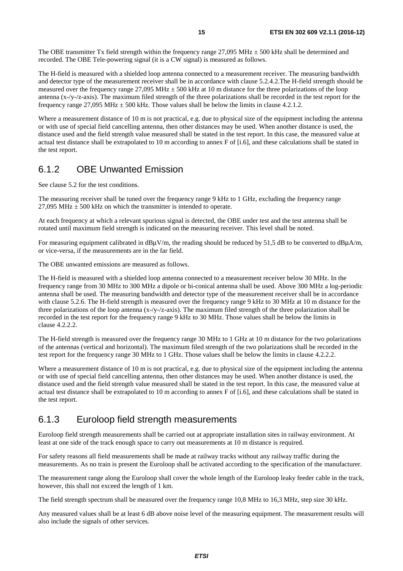<span id="page-14-0"></span>The OBE transmitter Tx field strength within the frequency range  $27,095 \text{ MHz} \pm 500 \text{ kHz}$  shall be determined and recorded. The OBE Tele-powering signal (it is a CW signal) is measured as follows.

The H-field is measured with a shielded loop antenna connected to a measurement receiver. The measuring bandwidth and detector type of the measurement receiver shall be in accordance with clause 5.2.4.2.The H-field strength should be measured over the frequency range 27,095 MHz  $\pm$  500 kHz at 10 m distance for the three polarizations of the loop antenna (x-/y-/z-axis). The maximum filed strength of the three polarizations shall be recorded in the test report for the frequency range 27,095 MHz  $\pm$  500 kHz. Those values shall be below the limits in clause 4.2.1.2.

Where a measurement distance of 10 m is not practical, e.g. due to physical size of the equipment including the antenna or with use of special field cancelling antenna, then other distances may be used. When another distance is used, the distance used and the field strength value measured shall be stated in the test report. In this case, the measured value at actual test distance shall be extrapolated to 10 m according to annex F of [i.[6\]](#page-6-0), and these calculations shall be stated in the test report.

# 6.1.2 OBE Unwanted Emission

See clause 5.2 for the test conditions.

The measuring receiver shall be tuned over the frequency range 9 kHz to 1 GHz, excluding the frequency range 27,095 MHz  $\pm$  500 kHz on which the transmitter is intended to operate.

At each frequency at which a relevant spurious signal is detected, the OBE under test and the test antenna shall be rotated until maximum field strength is indicated on the measuring receiver. This level shall be noted.

For measuring equipment calibrated in  $dB\mu V/m$ , the reading should be reduced by 51,5 dB to be converted to  $dB\mu A/m$ , or vice-versa, if the measurements are in the far field.

The OBE unwanted emissions are measured as follows.

The H-field is measured with a shielded loop antenna connected to a measurement receiver below 30 MHz. In the frequency range from 30 MHz to 300 MHz a dipole or bi-conical antenna shall be used. Above 300 MHz a log-periodic antenna shall be used. The measuring bandwidth and detector type of the measurement receiver shall be in accordance with clause 5.2.6. The H-field strength is measured over the frequency range 9 kHz to 30 MHz at 10 m distance for the three polarizations of the loop antenna (x-/y-/z-axis). The maximum filed strength of the three polarization shall be recorded in the test report for the frequency range 9 kHz to 30 MHz. Those values shall be below the limits in clause 4.2.2.2.

The H-field strength is measured over the frequency range 30 MHz to 1 GHz at 10 m distance for the two polarizations of the antennas (vertical and horizontal). The maximum filed strength of the two polarizations shall be recorded in the test report for the frequency range 30 MHz to 1 GHz. Those values shall be below the limits in clause 4.2.2.2.

Where a measurement distance of 10 m is not practical, e.g. due to physical size of the equipment including the antenna or with use of special field cancelling antenna, then other distances may be used. When another distance is used, the distance used and the field strength value measured shall be stated in the test report. In this case, the measured value at actual test distance shall be extrapolated to 10 m according to annex F of [i.[6\]](#page-6-0), and these calculations shall be stated in the test report.

# 6.1.3 Euroloop field strength measurements

Euroloop field strength measurements shall be carried out at appropriate installation sites in railway environment. At least at one side of the track enough space to carry out measurements at 10 m distance is required.

For safety reasons all field measurements shall be made at railway tracks without any railway traffic during the measurements. As no train is present the Euroloop shall be activated according to the specification of the manufacturer.

The measurement range along the Euroloop shall cover the whole length of the Euroloop leaky feeder cable in the track, however, this shall not exceed the length of 1 km.

The field strength spectrum shall be measured over the frequency range 10,8 MHz to 16,3 MHz, step size 30 kHz.

Any measured values shall be at least 6 dB above noise level of the measuring equipment. The measurement results will also include the signals of other services.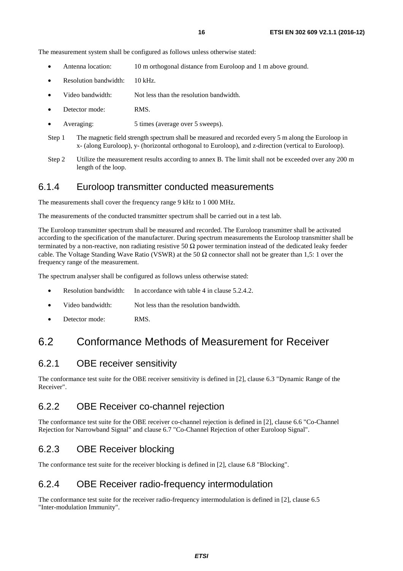<span id="page-15-0"></span>The measurement system shall be configured as follows unless otherwise stated:

- Antenna location: 10 m orthogonal distance from Euroloop and 1 m above ground.
- Resolution bandwidth: 10 kHz.
- Video bandwidth: Not less than the resolution bandwidth.
- Detector mode: RMS.
- Averaging: 5 times (average over 5 sweeps).
- Step 1 The magnetic field strength spectrum shall be measured and recorded every 5 m along the Euroloop in x- (along Euroloop), y- (horizontal orthogonal to Euroloop), and z-direction (vertical to Euroloop).
- Step 2 Utilize the measurement results according to annex B. The limit shall not be exceeded over any 200 m length of the loop.

# 6.1.4 Euroloop transmitter conducted measurements

The measurements shall cover the frequency range 9 kHz to 1 000 MHz.

The measurements of the conducted transmitter spectrum shall be carried out in a test lab.

The Euroloop transmitter spectrum shall be measured and recorded. The Euroloop transmitter shall be activated according to the specification of the manufacturer. During spectrum measurements the Euroloop transmitter shall be terminated by a non-reactive, non radiating resistive 50  $\Omega$  power termination instead of the dedicated leaky feeder cable. The Voltage Standing Wave Ratio (VSWR) at the 50  $\Omega$  connector shall not be greater than 1,5: 1 over the frequency range of the measurement.

The spectrum analyser shall be configured as follows unless otherwise stated:

- Resolution bandwidth: In accordance with table 4 in clause 5.2.4.2.
- Video bandwidth: Not less than the resolution bandwidth.
- Detector mode: RMS.

# 6.2 Conformance Methods of Measurement for Receiver

## 6.2.1 OBE receiver sensitivity

The conformance test suite for the OBE receiver sensitivity is defined in [\[2](#page-5-0)], clause 6.3 "Dynamic Range of the Receiver".

# 6.2.2 OBE Receiver co-channel rejection

The conformance test suite for the OBE receiver co-channel rejection is defined in [\[2](#page-5-0)], clause 6.6 "Co-Channel Rejection for Narrowband Signal" and clause 6.7 "Co-Channel Rejection of other Euroloop Signal".

# 6.2.3 OBE Receiver blocking

The conformance test suite for the receiver blocking is defined in [\[2](#page-5-0)], clause 6.8 "Blocking".

# 6.2.4 OBE Receiver radio-frequency intermodulation

The conformance test suite for the receiver radio-frequency intermodulation is defined in [\[2](#page-5-0)], clause 6.5 "Inter-modulation Immunity".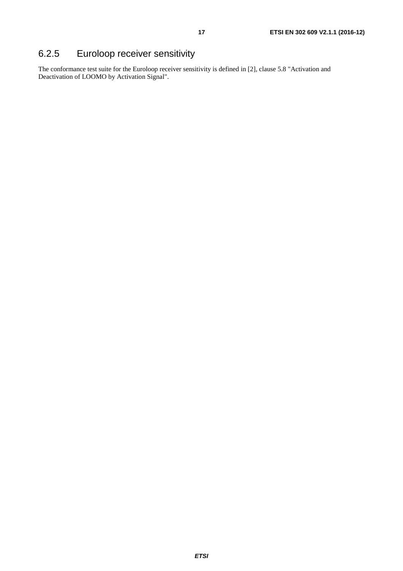# <span id="page-16-0"></span>6.2.5 Euroloop receiver sensitivity

The conformance test suite for the Euroloop receiver sensitivity is defined in [\[2](#page-5-0)], clause 5.8 "Activation and Deactivation of LOOMO by Activation Signal".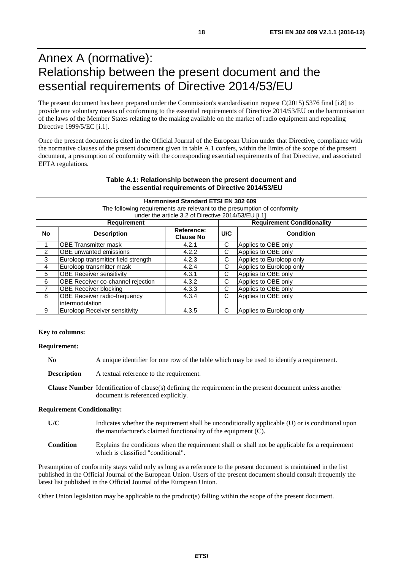# <span id="page-17-0"></span>Annex A (normative): Relationship between the present document and the essential requirements of Directive 2014/53/EU

The present document has been prepared under the Commission's standardisation request C(2015) 5376 final [i.8] to provide one voluntary means of conforming to the essential requirements of Directive 2014/53/EU on the harmonisation of the laws of the Member States relating to the making available on the market of radio equipment and repealing Directive 1999/5/EC [i.1].

Once the present document is cited in the Official Journal of the European Union under that Directive, compliance with the normative clauses of the present document given in table A.1 confers, within the limits of the scope of the present document, a presumption of conformity with the corresponding essential requirements of that Directive, and associated EFTA regulations.

#### **Harmonised Standard ETSI EN 302 609** The following requirements are relevant to the presumption of conformity under the article 3.2 of Directive 2014/53/EU [[i.1](#page-6-0)]<br>Requirement Team **Requirement Requirement Conditionality No Description Reference: Clause No Phone Condition Condition**<br> **C C Applies to OBF only** 1 OBE Transmitter mask 4.2.1 C Applies to OBE only<br>2 OBE unwanted emissions 4.2.2 C Applies to OBE only 2 OBE unwanted emissions 4.2.2 C Applies to OBE only 3 Euroloop transmitter field strength 4.2.3 C Applies to Euroloop only<br>4 Euroloop transmitter mask 4.2.4 C Applies to Euroloop only 4 Euroloop transmitter mask 4.2.4 C Applies to Euroloop only 5 OBE Receiver sensitivity 4.3.1 C Applies to OBE only 6 OBE Receiver co-channel rejection 4.3.2 C Applies to OBE only<br>
7 OBE Receiver blocking<br>
4.3.3 C Applies to OBE only 7 OBE Receiver blocking 4.3.3 C Applies to OBE only 8 OBE Receiver radio-frequency intermodulation 4.3.4 C Applies to OBE only 9 Euroloop Receiver sensitivity 4.3.5 C Applies to Euroloop only

#### **Table A.1: Relationship between the present document and the essential requirements of Directive 2014/53/EU**

#### **Key to columns:**

**Requirement:** 

**No** A unique identifier for one row of the table which may be used to identify a requirement.

**Description** A textual reference to the requirement.

**Clause Number** Identification of clause(s) defining the requirement in the present document unless another document is referenced explicitly.

#### **Requirement Conditionality:**

- **U/C** Indicates whether the requirement shall be unconditionally applicable (U) or is conditional upon the manufacturer's claimed functionality of the equipment (C).
- **Condition** Explains the conditions when the requirement shall or shall not be applicable for a requirement which is classified "conditional".

Presumption of conformity stays valid only as long as a reference to the present document is maintained in the list published in the Official Journal of the European Union. Users of the present document should consult frequently the latest list published in the Official Journal of the European Union.

Other Union legislation may be applicable to the product(s) falling within the scope of the present document.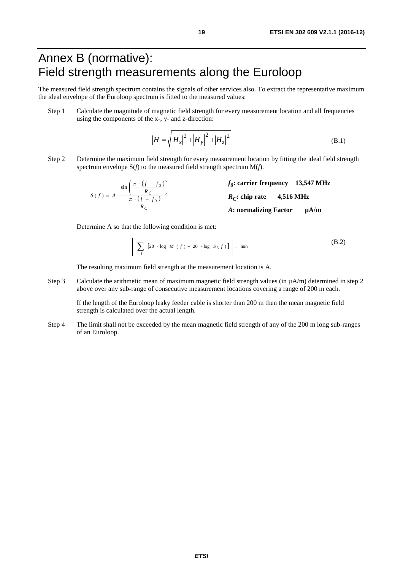# <span id="page-18-0"></span>Annex B (normative): Field strength measurements along the Euroloop

The measured field strength spectrum contains the signals of other services also. To extract the representative maximum the ideal envelope of the Euroloop spectrum is fitted to the measured values:

Step 1 Calculate the magnitude of magnetic field strength for every measurement location and all frequencies using the components of the x-, y- and z-direction:

$$
|H| = \sqrt{|H_x|^2 + |H_y|^2 + |H_z|^2}
$$
 (B.1)

Step 2 Determine the maximum field strength for every measurement location by fitting the ideal field strength spectrum envelope S(*f*) to the measured field strength spectrum M(*f*).

$$
S(f) = A \cdot \frac{\sin\left(\frac{\pi \cdot (f - f_0)}{R_C}\right)}{\frac{\pi \cdot (f - f_0)}{R_C}}
$$
\n
$$
f_0: \text{ carrier frequency} \quad 13,547 \text{ MHz}
$$
\n
$$
R_C: \text{ chip rate} \quad 4,516 \text{ MHz}
$$
\n
$$
A: \text{ normalizing Factor} \quad \mu\text{A/m}
$$

Determine A so that the following condition is met:

$$
\left| \sum_{f} \left[ 20 \cdot \log M(f) - 20 \cdot \log S(f) \right] \right| = \min \tag{B.2}
$$

 $\overline{a}$ 

The resulting maximum field strength at the measurement location is A.

Step 3 Calculate the arithmetic mean of maximum magnetic field strength values (in  $\mu A/m$ ) determined in step 2 above over any sub-range of consecutive measurement locations covering a range of 200 m each.

 If the length of the Euroloop leaky feeder cable is shorter than 200 m then the mean magnetic field strength is calculated over the actual length.

Step 4 The limit shall not be exceeded by the mean magnetic field strength of any of the 200 m long sub-ranges of an Euroloop.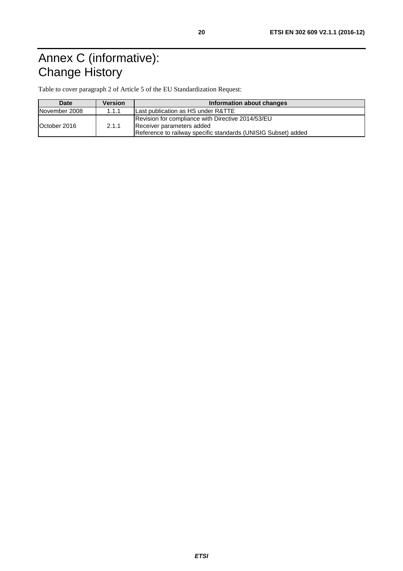# <span id="page-19-0"></span>Annex C (informative): Change History

Table to cover paragraph 2 of Article 5 of the EU Standardization Request:

| Date          | <b>Version</b> | Information about changes                                                                                                                       |  |  |
|---------------|----------------|-------------------------------------------------------------------------------------------------------------------------------------------------|--|--|
| November 2008 | 1.1.1          | Last publication as HS under R&TTE                                                                                                              |  |  |
| October 2016  | 2.1.1          | Revision for compliance with Directive 2014/53/EU<br>Receiver parameters added<br>Reference to railway specific standards (UNISIG Subset) added |  |  |